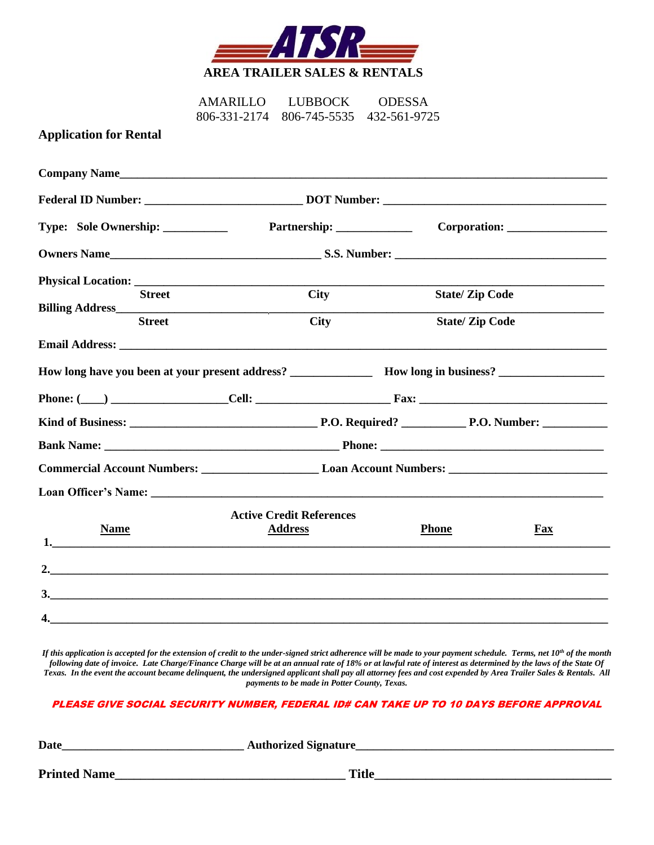

AMARILLO LUBBOCK ODESSA 806-331-2174 806-745-5535 432-561-9725

## **Application for Rental**

| Company Name                      |                                                                                                                                                                                                                                          |                       |                       |  |
|-----------------------------------|------------------------------------------------------------------------------------------------------------------------------------------------------------------------------------------------------------------------------------------|-----------------------|-----------------------|--|
|                                   |                                                                                                                                                                                                                                          |                       |                       |  |
| Type: Sole Ownership: ___________ |                                                                                                                                                                                                                                          |                       |                       |  |
|                                   | Owners Name <u> Carl S.S. Number:</u> S.S. Number: <u> S.S. Number:</u> S.S. Number: S.S. Number: S.S. Number: S.S. Number: S.S. Number: S.S. Number: S.S. Number: S.S. Number: S.S. Number: S.S. Number: S.S. Number: S.S. Number: S.S. |                       |                       |  |
|                                   |                                                                                                                                                                                                                                          |                       |                       |  |
| <b>Street</b>                     | <b>City</b>                                                                                                                                                                                                                              |                       | <b>State/Zip Code</b> |  |
| <b>Street</b>                     | <b>City</b>                                                                                                                                                                                                                              | <b>State/Zip Code</b> |                       |  |
|                                   |                                                                                                                                                                                                                                          |                       |                       |  |
|                                   |                                                                                                                                                                                                                                          |                       |                       |  |
|                                   |                                                                                                                                                                                                                                          |                       |                       |  |
|                                   |                                                                                                                                                                                                                                          |                       |                       |  |
|                                   |                                                                                                                                                                                                                                          |                       |                       |  |
|                                   |                                                                                                                                                                                                                                          |                       |                       |  |
|                                   |                                                                                                                                                                                                                                          |                       |                       |  |
|                                   | <b>Active Credit References</b>                                                                                                                                                                                                          |                       |                       |  |
| <b>Name</b>                       | <b>Address</b>                                                                                                                                                                                                                           | <b>Phone</b>          | $Fax$                 |  |
|                                   |                                                                                                                                                                                                                                          |                       |                       |  |
|                                   |                                                                                                                                                                                                                                          |                       |                       |  |
| 4.                                |                                                                                                                                                                                                                                          |                       |                       |  |

*If this application is accepted for the extension of credit to the under-signed strict adherence will be made to your payment schedule. Terms, net 10th of the month following date of invoice. Late Charge/Finance Charge will be at an annual rate of 18% or at lawful rate of interest as determined by the laws of the State Of Texas. In the event the account became delinquent, the undersigned applicant shall pay all attorney fees and cost expended by Area Trailer Sales & Rentals. All payments to be made in Potter County, Texas.*

## PLEASE GIVE SOCIAL SECURITY NUMBER, FEDERAL ID# CAN TAKE UP TO 10 DAYS BEFORE APPROVAL

| <b>Date</b>         | <b>Authorized Signature</b> |  |
|---------------------|-----------------------------|--|
|                     |                             |  |
| <b>Printed Name</b> | <b>Title</b>                |  |